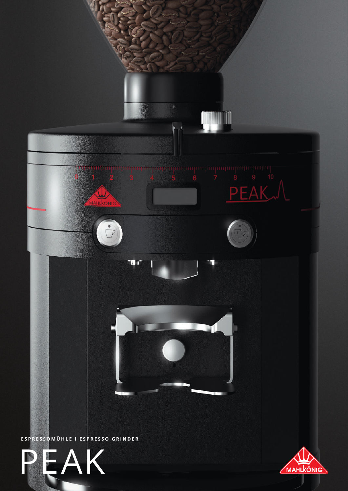